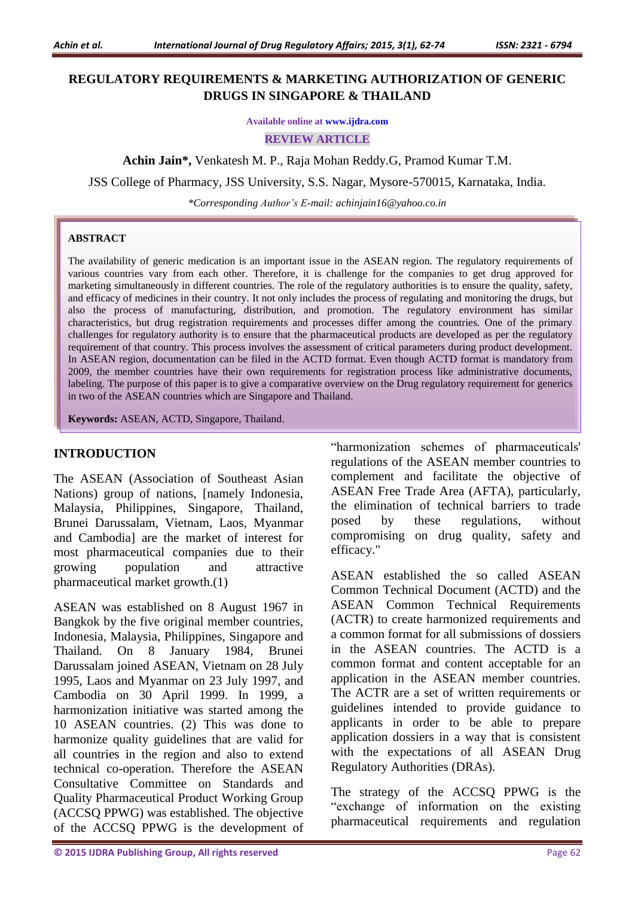## **REGULATORY REQUIREMENTS & MARKETING AUTHORIZATION OF GENERIC DRUGS IN SINGAPORE & THAILAND**

**Available online at [www.ijdra.com](http://www.ijdra.com/)**

**REVIEW ARTICLE**

**Achin Jain\*,** Venkatesh M. P., Raja Mohan Reddy.G, Pramod Kumar T.M.

JSS College of Pharmacy, JSS University, S.S. Nagar, Mysore-570015, Karnataka, India.

*\*Corresponding Author's E-mail: [achinjain16@yahoo.co.in](mailto:achinjain16@yahoo.co.in)*

#### **ABSTRACT**

The availability of generic medication is an important issue in the ASEAN region. The regulatory requirements of various countries vary from each other. Therefore, it is challenge for the companies to get drug approved for marketing simultaneously in different countries. The role of the regulatory authorities is to ensure the quality, safety, and efficacy of medicines in their country. It not only includes the process of regulating and monitoring the drugs, but also the process of manufacturing, distribution, and promotion. The regulatory environment has similar characteristics, but drug registration requirements and processes differ among the countries. One of the primary challenges for regulatory authority is to ensure that the pharmaceutical products are developed as per the regulatory requirement of that country. This process involves the assessment of critical parameters during product development. In ASEAN region, documentation can be filed in the ACTD format. Even though ACTD format is mandatory from 2009, the member countries have their own requirements for registration process like administrative documents, labeling. The purpose of this paper is to give a comparative overview on the Drug regulatory requirement for generics in two of the ASEAN countries which are Singapore and Thailand.

**Keywords:** ASEAN, ACTD, Singapore, Thailand.

#### **INTRODUCTION**

The ASEAN (Association of Southeast Asian Nations) group of nations, [namely Indonesia, Malaysia, Philippines, Singapore, Thailand, Brunei Darussalam, Vietnam, Laos, Myanmar and Cambodia] are the market of interest for most pharmaceutical companies due to their growing population and attractive pharmaceutical market growth.(1)

ASEAN was established on 8 August 1967 in Bangkok by the five original member countries, Indonesia, Malaysia, Philippines, Singapore and Thailand. On 8 January 1984, Brunei Darussalam joined ASEAN, Vietnam on 28 July 1995, Laos and Myanmar on 23 July 1997, and Cambodia on 30 April 1999. In 1999, a harmonization initiative was started among the 10 ASEAN countries. (2) This was done to harmonize quality guidelines that are valid for all countries in the region and also to extend technical co-operation. Therefore the ASEAN Consultative Committee on Standards and Quality Pharmaceutical Product Working Group (ACCSQ PPWG) was established. The objective of the ACCSQ PPWG is the development of "harmonization schemes of pharmaceuticals' regulations of the ASEAN member countries to complement and facilitate the objective of ASEAN Free Trade Area (AFTA), particularly, the elimination of technical barriers to trade posed by these regulations, without compromising on drug quality, safety and efficacy."

ASEAN established the so called ASEAN Common Technical Document (ACTD) and the ASEAN Common Technical Requirements (ACTR) to create harmonized requirements and a common format for all submissions of dossiers in the ASEAN countries. The ACTD is a common format and content acceptable for an application in the ASEAN member countries. The ACTR are a set of written requirements or guidelines intended to provide guidance to applicants in order to be able to prepare application dossiers in a way that is consistent with the expectations of all ASEAN Drug Regulatory Authorities (DRAs).

The strategy of the ACCSQ PPWG is the "exchange of information on the existing pharmaceutical requirements and regulation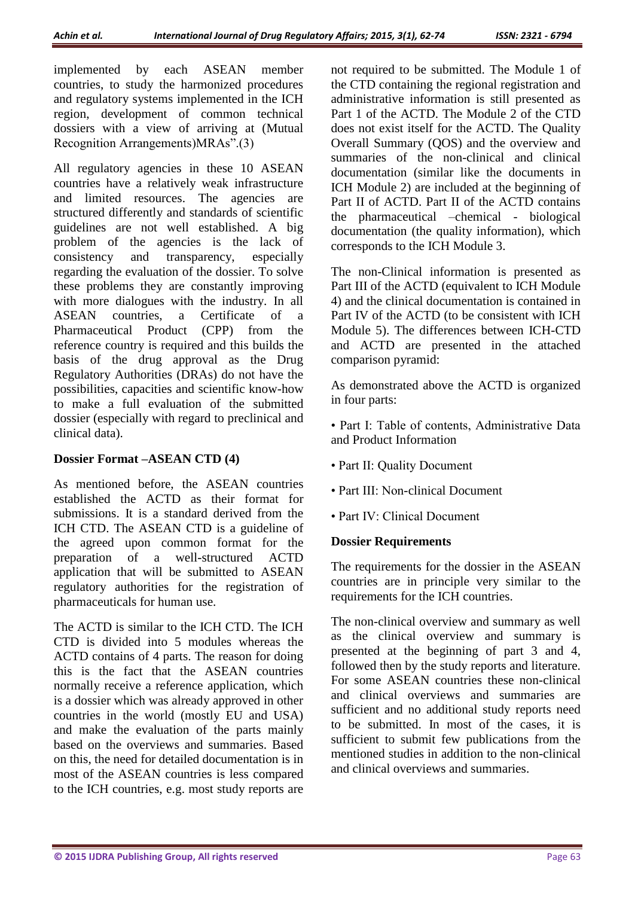implemented by each ASEAN member countries, to study the harmonized procedures and regulatory systems implemented in the ICH region, development of common technical dossiers with a view of arriving at (Mutual Recognition Arrangements)MRAs".(3)

All regulatory agencies in these 10 ASEAN countries have a relatively weak infrastructure and limited resources. The agencies are structured differently and standards of scientific guidelines are not well established. A big problem of the agencies is the lack of consistency and transparency, especially regarding the evaluation of the dossier. To solve these problems they are constantly improving with more dialogues with the industry. In all<br>ASEAN countries a Certificate of a countries, a Certificate of a Pharmaceutical Product (CPP) from the reference country is required and this builds the basis of the drug approval as the Drug Regulatory Authorities (DRAs) do not have the possibilities, capacities and scientific know-how to make a full evaluation of the submitted dossier (especially with regard to preclinical and clinical data).

#### **Dossier Format –ASEAN CTD (4)**

As mentioned before, the ASEAN countries established the ACTD as their format for submissions. It is a standard derived from the ICH CTD. The ASEAN CTD is a guideline of the agreed upon common format for the preparation of a well-structured ACTD application that will be submitted to ASEAN regulatory authorities for the registration of pharmaceuticals for human use.

The ACTD is similar to the ICH CTD. The ICH CTD is divided into 5 modules whereas the ACTD contains of 4 parts. The reason for doing this is the fact that the ASEAN countries normally receive a reference application, which is a dossier which was already approved in other countries in the world (mostly EU and USA) and make the evaluation of the parts mainly based on the overviews and summaries. Based on this, the need for detailed documentation is in most of the ASEAN countries is less compared to the ICH countries, e.g. most study reports are

not required to be submitted. The Module 1 of the CTD containing the regional registration and administrative information is still presented as Part 1 of the ACTD. The Module 2 of the CTD does not exist itself for the ACTD. The Quality Overall Summary (QOS) and the overview and summaries of the non-clinical and clinical documentation (similar like the documents in ICH Module 2) are included at the beginning of Part II of ACTD. Part II of the ACTD contains the pharmaceutical –chemical - biological documentation (the quality information), which corresponds to the ICH Module 3.

The non-Clinical information is presented as Part III of the ACTD (equivalent to ICH Module 4) and the clinical documentation is contained in Part IV of the ACTD (to be consistent with ICH Module 5). The differences between ICH-CTD and ACTD are presented in the attached comparison pyramid:

As demonstrated above the ACTD is organized in four parts:

• Part I: Table of contents, Administrative Data and Product Information

- Part II: Quality Document
- Part III: Non-clinical Document
- Part IV: Clinical Document

### **Dossier Requirements**

The requirements for the dossier in the ASEAN countries are in principle very similar to the requirements for the ICH countries.

The non-clinical overview and summary as well as the clinical overview and summary is presented at the beginning of part 3 and 4, followed then by the study reports and literature. For some ASEAN countries these non-clinical and clinical overviews and summaries are sufficient and no additional study reports need to be submitted. In most of the cases, it is sufficient to submit few publications from the mentioned studies in addition to the non-clinical and clinical overviews and summaries.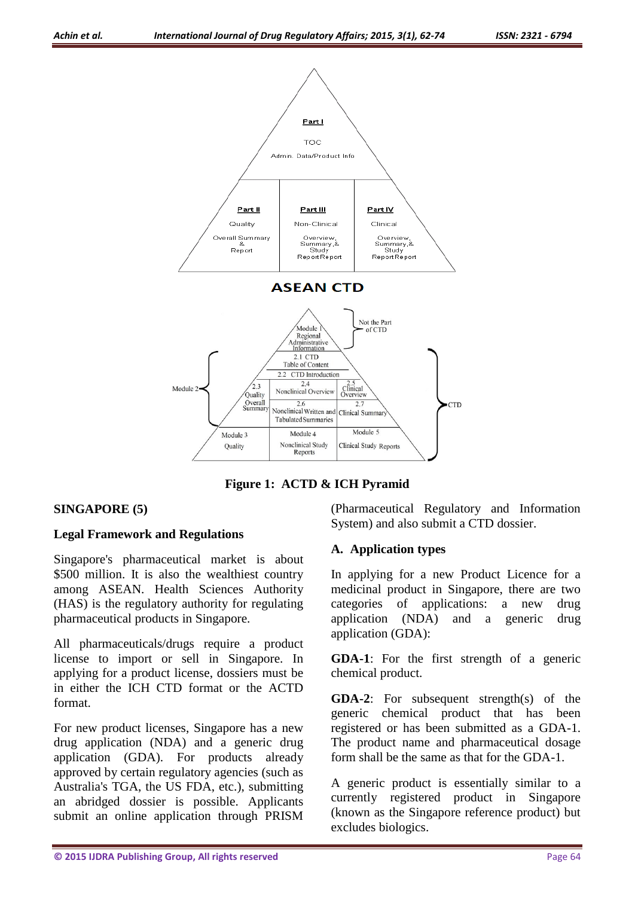

**Figure 1: ACTD & ICH Pyramid**

### **SINGAPORE (5)**

#### **Legal Framework and Regulations**

Singapore's pharmaceutical market is about \$500 million. It is also the wealthiest country among ASEAN. Health Sciences Authority (HAS) is the regulatory authority for regulating pharmaceutical products in Singapore.

All pharmaceuticals/drugs require a product license to import or sell in Singapore. In applying for a product license, dossiers must be in either the ICH CTD format or the ACTD format.

For new product licenses, Singapore has a new drug application (NDA) and a generic drug application (GDA). For products already approved by certain regulatory agencies (such as Australia's TGA, the US FDA, etc.), submitting an abridged dossier is possible. Applicants submit an online application through PRISM

(Pharmaceutical Regulatory and Information System) and also submit a CTD dossier.

#### **A. Application types**

In applying for a new Product Licence for a medicinal product in Singapore, there are two categories of applications: a new drug application (NDA) and a generic drug application (GDA):

**GDA-1**: For the first strength of a generic chemical product.

**GDA-2**: For subsequent strength(s) of the generic chemical product that has been registered or has been submitted as a GDA-1. The product name and pharmaceutical dosage form shall be the same as that for the GDA-1.

A generic product is essentially similar to a currently registered product in Singapore (known as the Singapore reference product) but excludes biologics.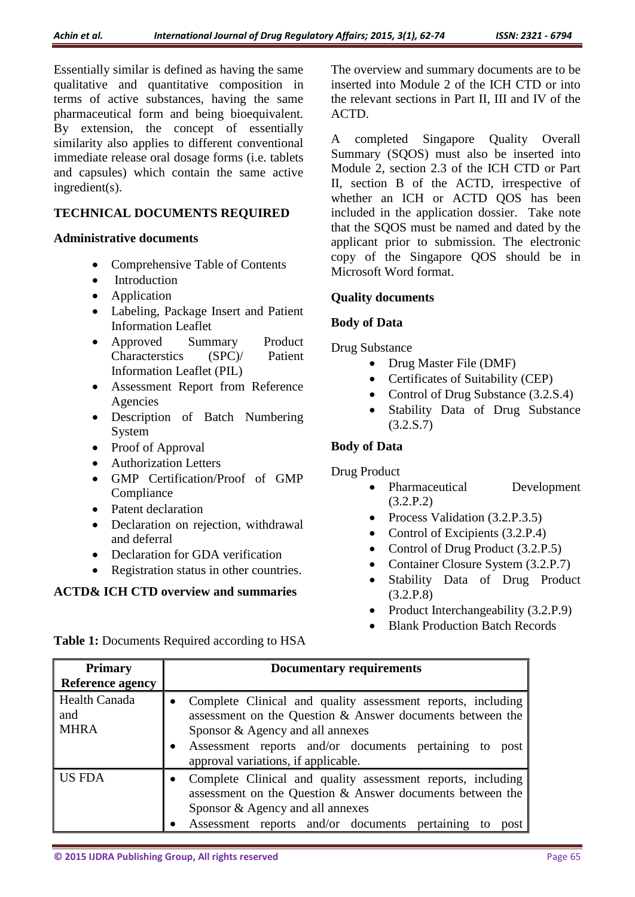Essentially similar is defined as having the same qualitative and quantitative composition in terms of active substances, having the same pharmaceutical form and being bioequivalent. By extension, the concept of essentially similarity also applies to different conventional immediate release oral dosage forms (i.e. tablets and capsules) which contain the same active ingredient(s).

## **TECHNICAL DOCUMENTS REQUIRED**

### **Administrative documents**

- Comprehensive Table of Contents
- Introduction
- Application
- Labeling, Package Insert and Patient Information Leaflet
- Approved Summary Product Characterstics (SPC)/ Patient Information Leaflet (PIL)
- Assessment Report from Reference Agencies
- Description of Batch Numbering System
- Proof of Approval
- Authorization Letters
- GMP Certification/Proof of GMP **Compliance**
- Patent declaration
- Declaration on rejection, withdrawal and deferral
- Declaration for GDA verification
- Registration status in other countries.

## **ACTD& ICH CTD overview and summaries**

The overview and summary documents are to be inserted into Module 2 of the ICH CTD or into the relevant sections in Part II, III and IV of the ACTD.

A completed Singapore Quality Overall Summary (SQOS) must also be inserted into Module 2, section 2.3 of the ICH CTD or Part II, section B of the ACTD, irrespective of whether an ICH or ACTD QOS has been included in the application dossier. Take note that the SQOS must be named and dated by the applicant prior to submission. The electronic copy of the Singapore QOS should be in Microsoft Word format.

## **Quality documents**

## **Body of Data**

Drug Substance

- Drug Master File (DMF)
- Certificates of Suitability (CEP)
- Control of Drug Substance (3.2.S.4)
- Stability Data of Drug Substance (3.2.S.7)

## **Body of Data**

## Drug Product

- Pharmaceutical Development (3.2.P.2)
- Process Validation (3.2.P.3.5)
- Control of Excipients (3.2.P.4)
- Control of Drug Product (3.2.P.5)
- Container Closure System (3.2.P.7)
- Stability Data of Drug Product (3.2.P.8)
- Product Interchangeability (3.2.P.9)
- Blank Production Batch Records

**Table 1:** Documents Required according to HSA

| <b>Primary</b>                      | <b>Documentary requirements</b>                                                                                                                                                                                                                                                                                                                                                                                                                                                                  |  |  |
|-------------------------------------|--------------------------------------------------------------------------------------------------------------------------------------------------------------------------------------------------------------------------------------------------------------------------------------------------------------------------------------------------------------------------------------------------------------------------------------------------------------------------------------------------|--|--|
| <b>Reference agency</b>             |                                                                                                                                                                                                                                                                                                                                                                                                                                                                                                  |  |  |
| Health Canada<br>and<br><b>MHRA</b> | Complete Clinical and quality assessment reports, including<br>assessment on the Question & Answer documents between the<br>Sponsor & Agency and all annexes<br>Assessment reports and/or documents pertaining to<br>post<br>approval variations, if applicable.<br>Complete Clinical and quality assessment reports, including<br>assessment on the Question & Answer documents between the<br>Sponsor & Agency and all annexes<br>Assessment reports and/or documents pertaining<br>to<br>post |  |  |
| US FDA                              |                                                                                                                                                                                                                                                                                                                                                                                                                                                                                                  |  |  |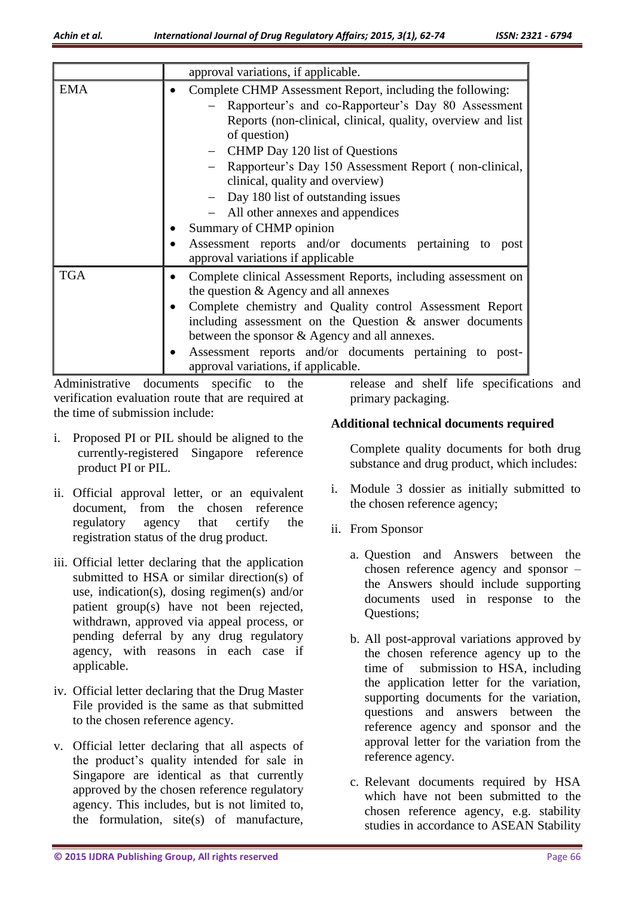|            | approval variations, if applicable.                                                                                                                                                                                                                                                                                                                                                                                                                                                                                                  |  |
|------------|--------------------------------------------------------------------------------------------------------------------------------------------------------------------------------------------------------------------------------------------------------------------------------------------------------------------------------------------------------------------------------------------------------------------------------------------------------------------------------------------------------------------------------------|--|
| <b>EMA</b> | Complete CHMP Assessment Report, including the following:<br>Rapporteur's and co-Rapporteur's Day 80 Assessment<br>Reports (non-clinical, clinical, quality, overview and list<br>of question)<br>- CHMP Day 120 list of Questions<br>Rapporteur's Day 150 Assessment Report (non-clinical,<br>clinical, quality and overview)<br>- Day 180 list of outstanding issues<br>All other annexes and appendices<br>Summary of CHMP opinion<br>Assessment reports and/or documents pertaining to post<br>approval variations if applicable |  |
| <b>TGA</b> | Complete clinical Assessment Reports, including assessment on<br>the question $&$ Agency and all annexes<br>Complete chemistry and Quality control Assessment Report<br>including assessment on the Question $\&$ answer documents<br>between the sponsor & Agency and all annexes.<br>Assessment reports and/or documents pertaining to post-<br>approval variations, if applicable.<br>Administrative documents specific to the release and shelf life specification                                                               |  |

Administrative documents specific to the verification evaluation route that are required at the time of submission include:

- i. Proposed PI or PIL should be aligned to the currently-registered Singapore reference product PI or PIL.
- ii. Official approval letter, or an equivalent document, from the chosen reference regulatory agency that certify the registration status of the drug product.
- iii. Official letter declaring that the application submitted to HSA or similar direction(s) of use, indication(s), dosing regimen(s) and/or patient group(s) have not been rejected, withdrawn, approved via appeal process, or pending deferral by any drug regulatory agency, with reasons in each case if applicable.
- iv. Official letter declaring that the Drug Master File provided is the same as that submitted to the chosen reference agency.
- v. Official letter declaring that all aspects of the product's quality intended for sale in Singapore are identical as that currently approved by the chosen reference regulatory agency. This includes, but is not limited to, the formulation, site(s) of manufacture,

release and shelf life specifications and primary packaging.

## **Additional technical documents required**

Complete quality documents for both drug substance and drug product, which includes:

- i. Module 3 dossier as initially submitted to the chosen reference agency;
- ii. From Sponsor
	- a. Question and Answers between the chosen reference agency and sponsor – the Answers should include supporting documents used in response to the Questions;
	- b. All post-approval variations approved by the chosen reference agency up to the time of submission to HSA, including the application letter for the variation, supporting documents for the variation, questions and answers between the reference agency and sponsor and the approval letter for the variation from the reference agency.
	- c. Relevant documents required by HSA which have not been submitted to the chosen reference agency, e.g. stability studies in accordance to ASEAN Stability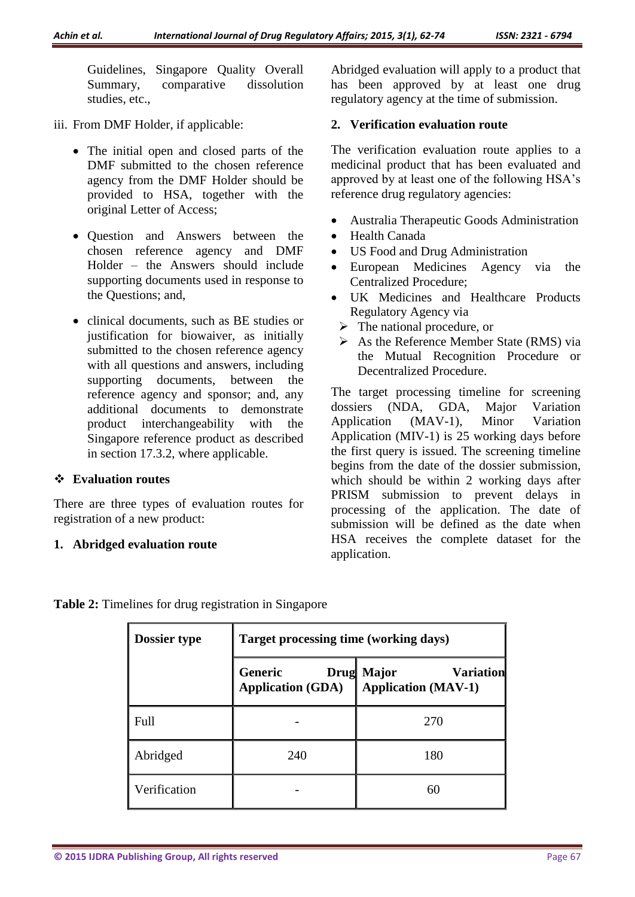Guidelines, Singapore Quality Overall Summary, comparative dissolution studies, etc.,

- iii. From DMF Holder, if applicable:
	- The initial open and closed parts of the DMF submitted to the chosen reference agency from the DMF Holder should be provided to HSA, together with the original Letter of Access;
	- Question and Answers between the chosen reference agency and DMF Holder – the Answers should include supporting documents used in response to the Questions; and,
	- clinical documents, such as BE studies or justification for biowaiver, as initially submitted to the chosen reference agency with all questions and answers, including supporting documents, between the reference agency and sponsor; and, any additional documents to demonstrate product interchangeability with the Singapore reference product as described in section 17.3.2, where applicable.

### **Evaluation routes**

There are three types of evaluation routes for registration of a new product:

### **1. Abridged evaluation route**

Abridged evaluation will apply to a product that has been approved by at least one drug regulatory agency at the time of submission.

### **2. Verification evaluation route**

The verification evaluation route applies to a medicinal product that has been evaluated and approved by at least one of the following HSA's reference drug regulatory agencies:

- Australia Therapeutic Goods Administration
- Health Canada
- US Food and Drug Administration
- European Medicines Agency via the Centralized Procedure;
- UK Medicines and Healthcare Products Regulatory Agency via
	- $\triangleright$  The national procedure, or
	- $\triangleright$  As the Reference Member State (RMS) via the Mutual Recognition Procedure or Decentralized Procedure.

The target processing timeline for screening dossiers (NDA, GDA, Major Variation Application (MAV-1), Minor Variation Application (MIV-1) is 25 working days before the first query is issued. The screening timeline begins from the date of the dossier submission, which should be within 2 working days after PRISM submission to prevent delays in processing of the application. The date of submission will be defined as the date when HSA receives the complete dataset for the application.

| Dossier type | <b>Target processing time (working days)</b> |                                                                     |  |
|--------------|----------------------------------------------|---------------------------------------------------------------------|--|
|              | Generic<br><b>Application (GDA)</b>          | <b>Drug Major</b><br><b>Variation</b><br><b>Application (MAV-1)</b> |  |
| Full         |                                              | 270                                                                 |  |
| Abridged     | 240                                          | 180                                                                 |  |
| Verification |                                              | 60                                                                  |  |

**Table 2:** Timelines for drug registration in Singapore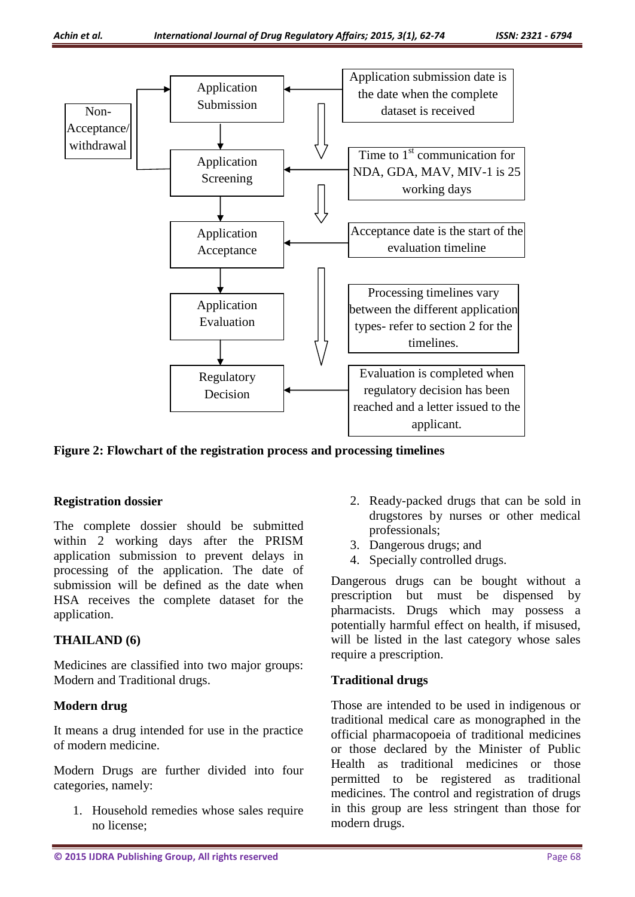

**Figure 2: Flowchart of the registration process and processing timelines**

#### **Registration dossier**

The complete dossier should be submitted within 2 working days after the PRISM application submission to prevent delays in processing of the application. The date of submission will be defined as the date when HSA receives the complete dataset for the application.

### **THAILAND (6)**

Medicines are classified into two major groups: Modern and Traditional drugs.

### **Modern drug**

It means a drug intended for use in the practice of modern medicine.

Modern Drugs are further divided into four categories, namely:

1. Household remedies whose sales require no license;

- 2. Ready-packed drugs that can be sold in drugstores by nurses or other medical professionals;
- 3. Dangerous drugs; and
- 4. Specially controlled drugs.

Dangerous drugs can be bought without a prescription but must be dispensed by pharmacists. Drugs which may possess a potentially harmful effect on health, if misused, will be listed in the last category whose sales require a prescription.

### **Traditional drugs**

Those are intended to be used in indigenous or traditional medical care as monographed in the official pharmacopoeia of traditional medicines or those declared by the Minister of Public Health as traditional medicines or those permitted to be registered as traditional medicines. The control and registration of drugs in this group are less stringent than those for modern drugs.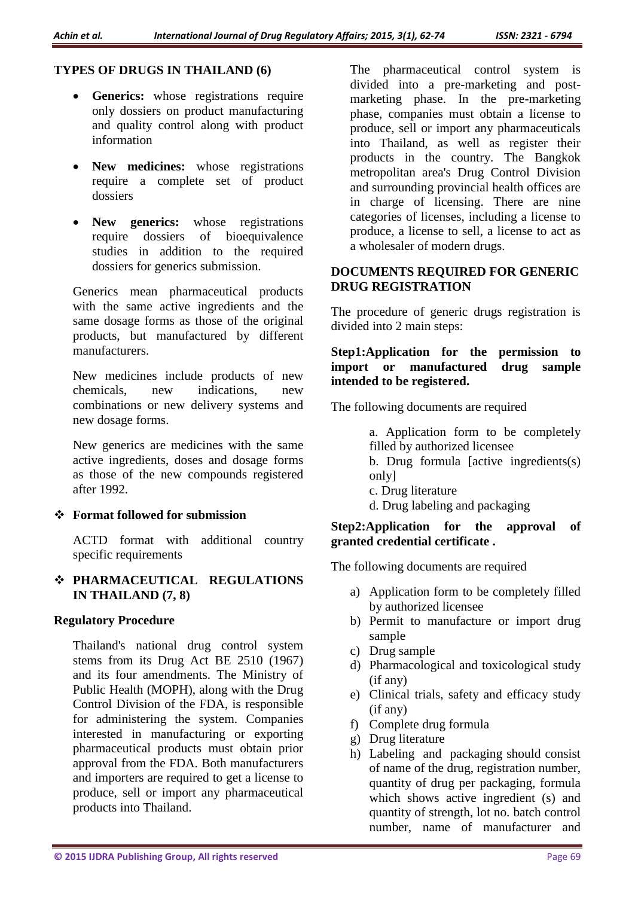### **TYPES OF DRUGS IN THAILAND (6)**

- **Generics:** whose registrations require only dossiers on product manufacturing and quality control along with product information
- New medicines: whose registrations require a complete set of product dossiers
- New generics: whose registrations require dossiers of bioequivalence studies in addition to the required dossiers for generics submission.

Generics mean pharmaceutical products with the same active ingredients and the same dosage forms as those of the original products, but manufactured by different manufacturers.

New medicines include products of new chemicals, new indications, new combinations or new delivery systems and new dosage forms.

New generics are medicines with the same active ingredients, doses and dosage forms as those of the new compounds registered after 1992.

#### **Format followed for submission**

ACTD format with additional country specific requirements

 **PHARMACEUTICAL REGULATIONS IN THAILAND (7, 8)**

#### **Regulatory Procedure**

Thailand's national drug control system stems from its Drug Act BE 2510 (1967) and its four amendments. The Ministry of Public Health (MOPH), along with the Drug Control Division of the FDA, is responsible for administering the system. Companies interested in manufacturing or exporting pharmaceutical products must obtain prior approval from the FDA. Both manufacturers and importers are required to get a license to produce, sell or import any pharmaceutical products into Thailand.

The pharmaceutical control system is divided into a pre-marketing and postmarketing phase. In the pre-marketing phase, companies must obtain a license to produce, sell or import any pharmaceuticals into Thailand, as well as register their products in the country. The Bangkok metropolitan area's Drug Control Division and surrounding provincial health offices are in charge of licensing. There are nine categories of licenses, including a license to produce, a license to sell, a license to act as a wholesaler of modern drugs.

### **DOCUMENTS REQUIRED FOR GENERIC DRUG REGISTRATION**

The procedure of generic drugs registration is divided into 2 main steps:

#### **Step1:Application for the permission to import or manufactured drug sample intended to be registered.**

The following documents are required

a. Application form to be completely filled by authorized licensee

- b. Drug formula [active ingredients(s) only]
- c. Drug literature
- d. Drug labeling and packaging

#### **Step2:Application for the approval of granted credential certificate .**

The following documents are required

- a) Application form to be completely filled by authorized licensee
- b) Permit to manufacture or import drug sample
- c) Drug sample
- d) Pharmacological and toxicological study (if any)
- e) Clinical trials, safety and efficacy study (if any)
- f) Complete drug formula
- g) Drug literature
- h) Labeling and packaging should consist of name of the drug, registration number, quantity of drug per packaging, formula which shows active ingredient (s) and quantity of strength, lot no. batch control number, name of manufacturer and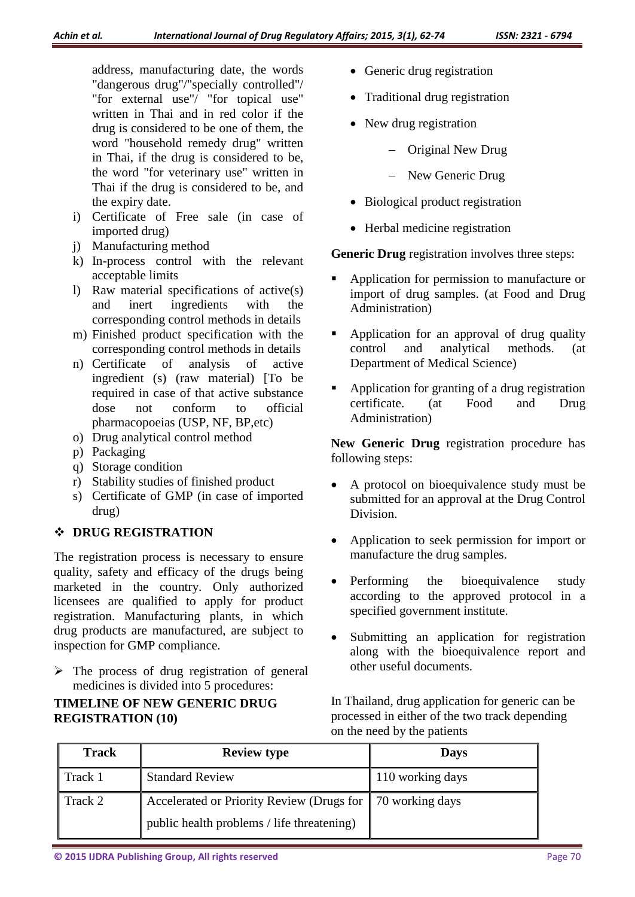address, manufacturing date, the words "dangerous drug"/"specially controlled"/ "for external use"/ "for topical use" written in Thai and in red color if the drug is considered to be one of them, the word "household remedy drug" written in Thai, if the drug is considered to be, the word "for veterinary use" written in Thai if the drug is considered to be, and the expiry date.

- i) Certificate of Free sale (in case of imported drug)
- j) Manufacturing method
- k) In-process control with the relevant acceptable limits
- l) Raw material specifications of active(s) and inert ingredients with the corresponding control methods in details
- m) Finished product specification with the corresponding control methods in details
- n) Certificate of analysis of active ingredient (s) (raw material) [To be required in case of that active substance dose not conform to official pharmacopoeias (USP, NF, BP,etc)
- o) Drug analytical control method
- p) Packaging
- q) Storage condition
- r) Stability studies of finished product
- s) Certificate of GMP (in case of imported drug)

### **DRUG REGISTRATION**

The registration process is necessary to ensure quality, safety and efficacy of the drugs being marketed in the country. Only authorized licensees are qualified to apply for product registration. Manufacturing plants, in which drug products are manufactured, are subject to inspection for GMP compliance.

 $\triangleright$  The process of drug registration of general medicines is divided into 5 procedures:

# **TIMELINE OF NEW GENERIC DRUG REGISTRATION (10)**

- Generic drug registration
- Traditional drug registration
- New drug registration
	- Original New Drug
	- New Generic Drug
- Biological product registration
- Herbal medicine registration

**Generic Drug** registration involves three steps:

- Application for permission to manufacture or import of drug samples. (at Food and Drug Administration)
- Application for an approval of drug quality control and analytical methods. (at Department of Medical Science)
- Application for granting of a drug registration certificate. (at Food and Drug Administration)

New Generic Drug registration procedure has following steps:

- A protocol on bioequivalence study must be submitted for an approval at the Drug Control Division.
- Application to seek permission for import or manufacture the drug samples.
- Performing the bioequivalence study according to the approved protocol in a specified government institute.
- Submitting an application for registration along with the bioequivalence report and other useful documents.

In Thailand, drug application for generic can be processed in either of the two track depending on the need by the patients

| <b>Track</b> | <b>Review type</b>                                          | <b>Days</b>      |
|--------------|-------------------------------------------------------------|------------------|
| Track 1      | <b>Standard Review</b>                                      | 110 working days |
| Track 2      | Accelerated or Priority Review (Drugs for   70 working days |                  |
|              | public health problems / life threatening)                  |                  |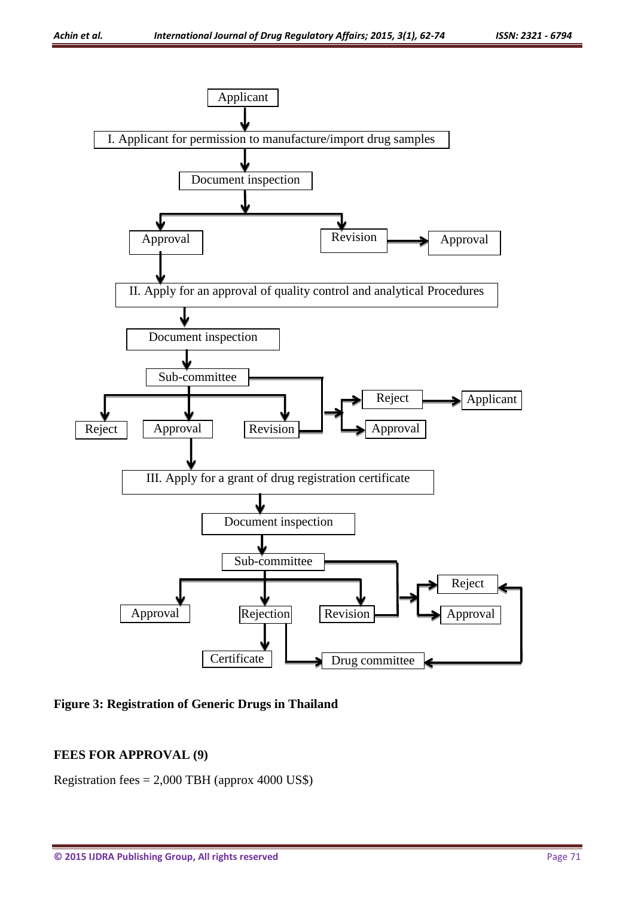

**Figure 3: Registration of Generic Drugs in Thailand**

### **FEES FOR APPROVAL (9)**

Registration fees = 2,000 TBH (approx 4000 US\$)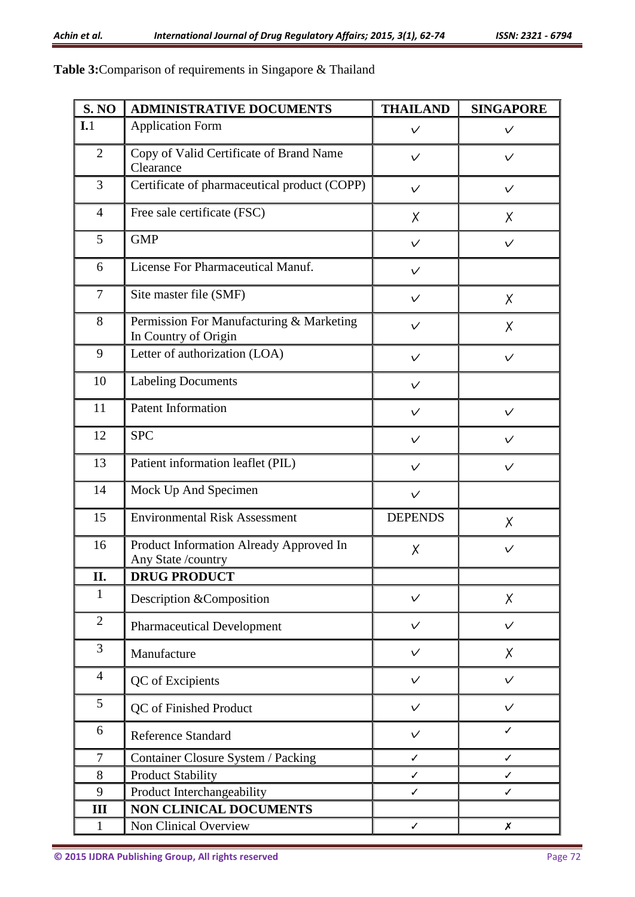## **Table 3:**Comparison of requirements in Singapore & Thailand

| <b>S. NO</b>   | <b>ADMINISTRATIVE DOCUMENTS</b>                                  | <b>THAILAND</b> | <b>SINGAPORE</b> |
|----------------|------------------------------------------------------------------|-----------------|------------------|
| I.1            | <b>Application Form</b>                                          | $\checkmark$    | $\checkmark$     |
| $\overline{2}$ | Copy of Valid Certificate of Brand Name<br>Clearance             | $\checkmark$    | $\checkmark$     |
| 3              | Certificate of pharmaceutical product (COPP)                     | $\checkmark$    | $\checkmark$     |
| $\overline{4}$ | Free sale certificate (FSC)                                      | X               | X                |
| 5              | <b>GMP</b>                                                       | $\checkmark$    | $\checkmark$     |
| 6              | License For Pharmaceutical Manuf.                                | $\checkmark$    |                  |
| 7              | Site master file (SMF)                                           | $\checkmark$    | X                |
| 8              | Permission For Manufacturing & Marketing<br>In Country of Origin | $\checkmark$    | X                |
| 9              | Letter of authorization (LOA)                                    | $\checkmark$    | $\checkmark$     |
| 10             | <b>Labeling Documents</b>                                        | $\checkmark$    |                  |
| 11             | <b>Patent Information</b>                                        | $\checkmark$    | $\checkmark$     |
| 12             | <b>SPC</b>                                                       | $\checkmark$    | $\checkmark$     |
| 13             | Patient information leaflet (PIL)                                | $\checkmark$    | $\checkmark$     |
| 14             | Mock Up And Specimen<br>$\checkmark$                             |                 |                  |
| 15             | <b>Environmental Risk Assessment</b>                             | <b>DEPENDS</b>  | X                |
| 16             | Product Information Already Approved In<br>Any State /country    | Χ               | $\checkmark$     |
| II.            | <b>DRUG PRODUCT</b>                                              |                 |                  |
| $\mathbf{1}$   | Description &Composition                                         | $\checkmark$    | X                |
| $\overline{2}$ | <b>Pharmaceutical Development</b>                                | $\checkmark$    | $\checkmark$     |
| 3              | Manufacture                                                      | $\checkmark$    | X                |
| $\overline{4}$ | QC of Excipients                                                 | $\checkmark$    | $\checkmark$     |
| 5              | QC of Finished Product                                           | $\checkmark$    | $\checkmark$     |
| 6              | Reference Standard                                               | $\checkmark$    | $\checkmark$     |
| 7              | Container Closure System / Packing                               | $\checkmark$    | ✓                |
| 8              | <b>Product Stability</b>                                         | ✓               | $\checkmark$     |
| 9              | Product Interchangeability<br>✓<br>✓                             |                 |                  |
| III            | <b>NON CLINICAL DOCUMENTS</b>                                    |                 |                  |
| $\mathbf{1}$   | Non Clinical Overview                                            | ✓               | $\boldsymbol{x}$ |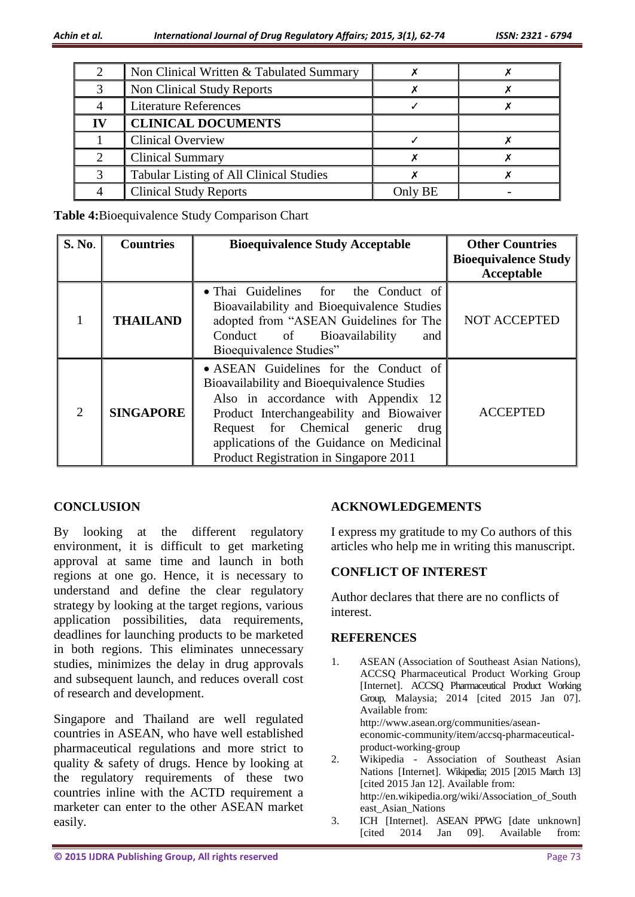| Non Clinical Written & Tabulated Summary       |         |  |
|------------------------------------------------|---------|--|
| Non Clinical Study Reports                     |         |  |
| <b>Literature References</b>                   |         |  |
| <b>CLINICAL DOCUMENTS</b>                      |         |  |
| <b>Clinical Overview</b>                       |         |  |
| <b>Clinical Summary</b>                        |         |  |
| <b>Tabular Listing of All Clinical Studies</b> |         |  |
| <b>Clinical Study Reports</b>                  | Only BE |  |

**Table 4:**Bioequivalence Study Comparison Chart

| <b>S. No.</b>  | <b>Countries</b> | <b>Bioequivalence Study Acceptable</b>                                                                                                                                                                                                                                                             | <b>Other Countries</b><br><b>Bioequivalence Study</b><br>Acceptable |
|----------------|------------------|----------------------------------------------------------------------------------------------------------------------------------------------------------------------------------------------------------------------------------------------------------------------------------------------------|---------------------------------------------------------------------|
|                | <b>THAILAND</b>  | • Thai Guidelines for the Conduct of<br>Bioavailability and Bioequivalence Studies<br>adopted from "ASEAN Guidelines for The<br>Conduct of<br><b>Bioavailability</b><br>and<br>Bioequivalence Studies"                                                                                             | <b>NOT ACCEPTED</b>                                                 |
| $\overline{2}$ | <b>SINGAPORE</b> | • ASEAN Guidelines for the Conduct of<br>Bioavailability and Bioequivalence Studies<br>Also in accordance with Appendix 12<br>Product Interchangeability and Biowaiver<br>Request for Chemical generic drug<br>applications of the Guidance on Medicinal<br>Product Registration in Singapore 2011 | <b>ACCEPTED</b>                                                     |

### **CONCLUSION**

By looking at the different regulatory environment, it is difficult to get marketing approval at same time and launch in both regions at one go. Hence, it is necessary to understand and define the clear regulatory strategy by looking at the target regions, various application possibilities, data requirements, deadlines for launching products to be marketed in both regions. This eliminates unnecessary studies, minimizes the delay in drug approvals and subsequent launch, and reduces overall cost of research and development.

Singapore and Thailand are well regulated countries in ASEAN, who have well established pharmaceutical regulations and more strict to quality & safety of drugs. Hence by looking at the regulatory requirements of these two countries inline with the ACTD requirement a marketer can enter to the other ASEAN market easily.

### **ACKNOWLEDGEMENTS**

I express my gratitude to my Co authors of this articles who help me in writing this manuscript.

#### **CONFLICT OF INTEREST**

Author declares that there are no conflicts of interest.

#### **REFERENCES**

- 1. ASEAN (Association of Southeast Asian Nations), ACCSQ Pharmaceutical Product Working Group [Internet]. ACCSQ Pharmaceutical Product Working Group*,* Malaysia; 2014 [cited 2015 Jan 07]. Available from: http://www.asean.org/communities/aseaneconomic-community/item/accsq-pharmaceuticalproduct-working-group
- 2. Wikipedia Association of Southeast Asian Nations [Internet]. Wikipedia; 2015 [2015 March 13] [cited 2015 Jan 12]. Available from: http://en.wikipedia.org/wiki/Association\_of\_South east\_Asian\_Nations
- 3. ICH [Internet]. ASEAN PPWG [date unknown] [cited 2014 Jan 09]. Available from: